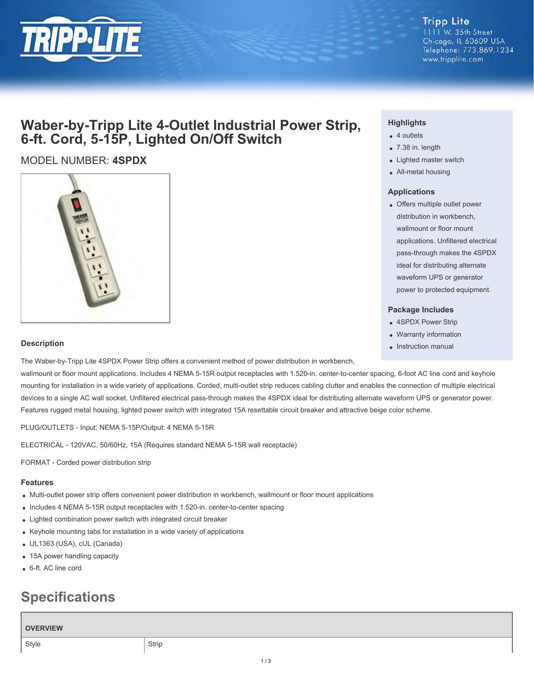

1111 W. 35th Street Chicago, IL 60609 USA Telephone: 773.869.1234 www.tripplite.com

### **Waber-by-Tripp Lite 4-Outlet Industrial Power Strip, 6-ft. Cord, 5-15P, Lighted On/Off Switch**

### MODEL NUMBER: **4SPDX**



#### **Highlights**

- 4 outlets
- 7.38 in. length
- Lighted master switch
- All-metal housing

#### **Applications**

Offers multiple outlet power distribution in workbench, wallmount or floor mount applications. Unfiltered electrical pass-through makes the 4SPDX ideal for distributing alternate waveform UPS or generator power to protected equipment.

#### **Package Includes**

- 4SPDX Power Strip
- Warranty information
- Instruction manual

#### **Description**

The Waber-by-Tripp Lite 4SPDX Power Strip offers a convenient method of power distribution in workbench,

wallmount or floor mount applications. Includes 4 NEMA 5-15R output receptacles with 1.520-in. center-to-center spacing, 6-foot AC line cord and keyhole mounting for installation in a wide variety of applications. Corded, multi-outlet strip reduces cabling clutter and enables the connection of multiple electrical devices to a single AC wall socket. Unfiltered electrical pass-through makes the 4SPDX ideal for distributing alternate waveform UPS or generator power. Features rugged metal housing, lighted power switch with integrated 15A resettable circuit breaker and attractive beige color scheme.

PLUG/OUTLETS - Input: NEMA 5-15P/Output: 4 NEMA 5-15R

ELECTRICAL - 120VAC, 50/60Hz, 15A (Requires standard NEMA 5-15R wall receptacle)

FORMAT - Corded power distribution strip

#### **Features**

- Multi-outlet power strip offers convenient power distribution in workbench, wallmount or floor mount applications
- Includes 4 NEMA 5-15R output receptacles with 1.520-in. center-to-center spacing
- Lighted combination power switch with integrated circuit breaker
- Keyhole mounting tabs for installation in a wide variety of applications
- UL1363 (USA), cUL (Canada)
- 15A power handling capacity
- 6-ft. AC line cord

# **Specifications**

## **OVERVIEW** Style Strip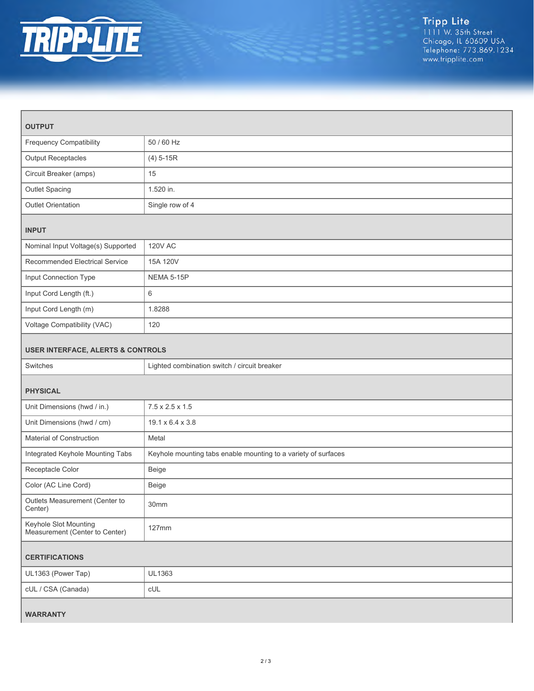

| <b>OUTPUT</b>                                           |                                                                |
|---------------------------------------------------------|----------------------------------------------------------------|
|                                                         |                                                                |
| <b>Frequency Compatibility</b>                          | 50 / 60 Hz                                                     |
| <b>Output Receptacles</b>                               | $(4) 5 - 15R$                                                  |
| Circuit Breaker (amps)                                  | 15                                                             |
| Outlet Spacing                                          | 1.520 in.                                                      |
| Outlet Orientation                                      | Single row of 4                                                |
| <b>INPUT</b>                                            |                                                                |
| Nominal Input Voltage(s) Supported                      | <b>120V AC</b>                                                 |
| Recommended Electrical Service                          | 15A 120V                                                       |
| Input Connection Type                                   | NEMA 5-15P                                                     |
| Input Cord Length (ft.)                                 | 6                                                              |
| Input Cord Length (m)                                   | 1.8288                                                         |
| Voltage Compatibility (VAC)                             | 120                                                            |
| <b>USER INTERFACE, ALERTS &amp; CONTROLS</b>            |                                                                |
| Switches                                                | Lighted combination switch / circuit breaker                   |
| <b>PHYSICAL</b>                                         |                                                                |
| Unit Dimensions (hwd / in.)                             | $7.5 \times 2.5 \times 1.5$                                    |
| Unit Dimensions (hwd / cm)                              | 19.1 x 6.4 x 3.8                                               |
| Material of Construction                                | Metal                                                          |
| Integrated Keyhole Mounting Tabs                        | Keyhole mounting tabs enable mounting to a variety of surfaces |
| Receptacle Color                                        | Beige                                                          |
| Color (AC Line Cord)                                    | Beige                                                          |
| Outlets Measurement (Center to<br>Center)               | 30mm                                                           |
| Keyhole Slot Mounting<br>Measurement (Center to Center) | 127mm                                                          |
| <b>CERTIFICATIONS</b>                                   |                                                                |
| UL1363 (Power Tap)                                      | UL1363                                                         |
| cUL / CSA (Canada)                                      | CUL                                                            |
| <b>WARRANTY</b>                                         |                                                                |